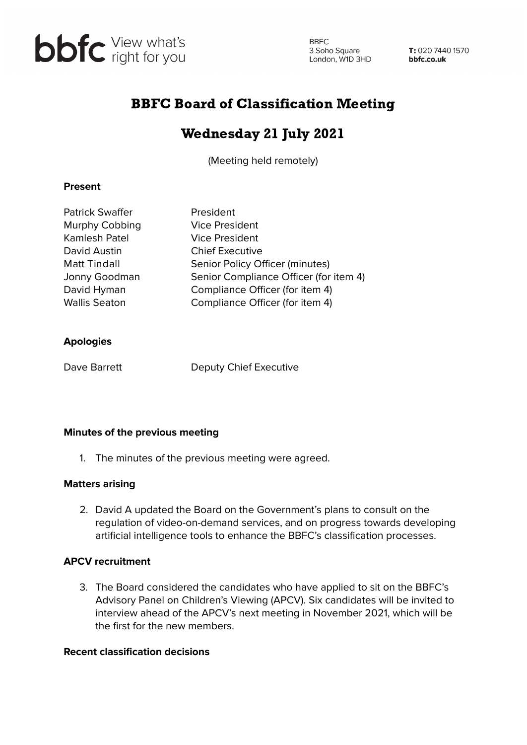

**BBFC** 3 Soho Square<br>London, W1D 3HD

T: 020 7440 1570 bbfc.co.uk

## BBFC Board of Classification Meeting

# Wednesday 21 July 2021

(Meeting held remotely)

#### **Present**

| <b>Patrick Swaffer</b> | President                              |
|------------------------|----------------------------------------|
| Murphy Cobbing         | Vice President                         |
| <b>Kamlesh Patel</b>   | <b>Vice President</b>                  |
| David Austin           | <b>Chief Executive</b>                 |
| <b>Matt Tindall</b>    | Senior Policy Officer (minutes)        |
| Jonny Goodman          | Senior Compliance Officer (for item 4) |
| David Hyman            | Compliance Officer (for item 4)        |
| <b>Wallis Seaton</b>   | Compliance Officer (for item 4)        |
|                        |                                        |

#### **Apologies**

Dave Barrett Deputy Chief Executive

#### **Minutes of the previous meeting**

1. The minutes of the previous meeting were agreed.

## **Matters arising**

2. David A updated the Board on the Government's plans to consult on the regulation of video-on-demand services, and on progress towards developing artificial intelligence tools to enhance the BBFC's classification processes.

## **APCV recruitment**

3. The Board considered the candidates who have applied to sit on the BBFC's Advisory Panel on Children's Viewing (APCV). Six candidates will be invited to interview ahead of the APCV's next meeting in November 2021, which will be the first for the new members.

## **Recent classification decisions**